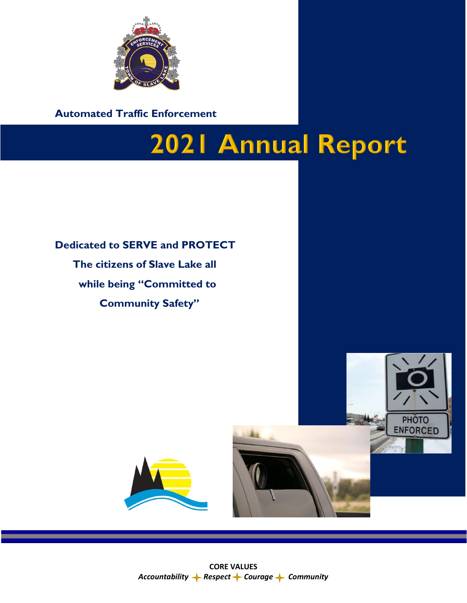

**Automated Traffic Enforcement**

## **2021 Annual Report**

## **Dedicated to SERVE and PROTECT The citizens of Slave Lake all while being "Committed to Community Safety"**